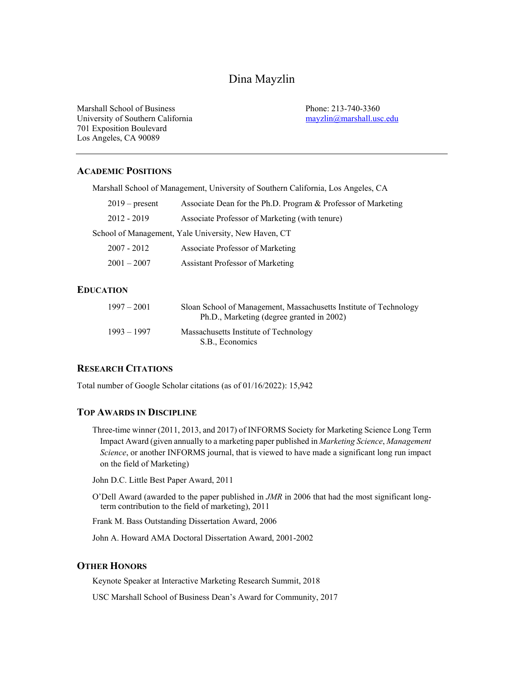# Dina Mayzlin

Marshall School of Business Phone: 213-740-3360 University of Southern California may alim and mayzlin@marshall.usc.edu 701 Exposition Boulevard Los Angeles, CA 90089

# **ACADEMIC POSITIONS**

|                  | Marshall School of Management, University of Southern California, Los Angeles, CA |
|------------------|-----------------------------------------------------------------------------------|
| $2019$ – present | Associate Dean for the Ph.D. Program & Professor of Marketing                     |
| $2012 - 2019$    | Associate Professor of Marketing (with tenure)                                    |
|                  | School of Management, Yale University, New Haven, CT                              |
| $2007 - 2012$    | Associate Professor of Marketing                                                  |
| $2001 - 2007$    | Assistant Professor of Marketing                                                  |

### **EDUCATION**

| $1997 - 2001$ | Sloan School of Management, Massachusetts Institute of Technology<br>Ph.D., Marketing (degree granted in 2002) |
|---------------|----------------------------------------------------------------------------------------------------------------|
| 1993 – 1997   | Massachusetts Institute of Technology<br>S.B., Economics                                                       |

# **RESEARCH CITATIONS**

Total number of Google Scholar citations (as of 01/16/2022): 15,942

# **TOP AWARDS IN DISCIPLINE**

Three-time winner (2011, 2013, and 2017) of INFORMS Society for Marketing Science Long Term Impact Award (given annually to a marketing paper published in *Marketing Science*, *Management Science*, or another INFORMS journal, that is viewed to have made a significant long run impact on the field of Marketing)

John D.C. Little Best Paper Award, 2011

O'Dell Award (awarded to the paper published in *JMR* in 2006 that had the most significant longterm contribution to the field of marketing), 2011

Frank M. Bass Outstanding Dissertation Award, 2006

John A. Howard AMA Doctoral Dissertation Award, 2001-2002

# **OTHER HONORS**

Keynote Speaker at Interactive Marketing Research Summit, 2018

USC Marshall School of Business Dean's Award for Community, 2017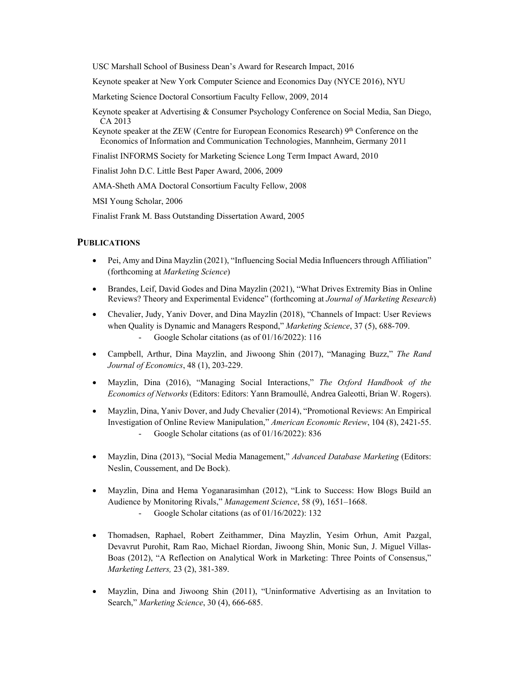USC Marshall School of Business Dean's Award for Research Impact, 2016

Keynote speaker at New York Computer Science and Economics Day (NYCE 2016), NYU

Marketing Science Doctoral Consortium Faculty Fellow, 2009, 2014

Keynote speaker at Advertising & Consumer Psychology Conference on Social Media, San Diego, CA 2013

Keynote speaker at the ZEW (Centre for European Economics Research)  $9<sup>th</sup>$  Conference on the Economics of Information and Communication Technologies, Mannheim, Germany 2011

Finalist INFORMS Society for Marketing Science Long Term Impact Award, 2010

Finalist John D.C. Little Best Paper Award, 2006, 2009

AMA-Sheth AMA Doctoral Consortium Faculty Fellow, 2008

MSI Young Scholar, 2006

Finalist Frank M. Bass Outstanding Dissertation Award, 2005

### **PUBLICATIONS**

- Pei, Amy and Dina Mayzlin (2021), "Influencing Social Media Influencers through Affiliation" (forthcoming at *Marketing Science*)
- Brandes, Leif, David Godes and Dina Mayzlin (2021), "What Drives Extremity Bias in Online Reviews? Theory and Experimental Evidence" (forthcoming at *Journal of Marketing Research*)
- Chevalier, Judy, Yaniv Dover, and Dina Mayzlin (2018), "Channels of Impact: User Reviews when Quality is Dynamic and Managers Respond," *Marketing Science*, 37 (5), 688-709. Google Scholar citations (as of 01/16/2022): 116
- Campbell, Arthur, Dina Mayzlin, and Jiwoong Shin (2017), "Managing Buzz," *The Rand Journal of Economics*, 48 (1), 203-229.
- Mayzlin, Dina (2016), "Managing Social Interactions," *The Oxford Handbook of the Economics of Networks* (Editors: Editors: Yann Bramoullé, Andrea Galeotti, Brian W. Rogers).
- Mayzlin, Dina, Yaniv Dover, and Judy Chevalier (2014), "Promotional Reviews: An Empirical Investigation of Online Review Manipulation," *American Economic Review*, 104 (8), 2421-55. Google Scholar citations (as of 01/16/2022): 836
- Mayzlin, Dina (2013), "Social Media Management," *Advanced Database Marketing* (Editors: Neslin, Coussement, and De Bock).
- Mayzlin, Dina and Hema Yoganarasimhan (2012), "Link to Success: How Blogs Build an Audience by Monitoring Rivals," *Management Science*, 58 (9), 1651–1668.
	- Google Scholar citations (as of 01/16/2022): 132
- Thomadsen, Raphael, Robert Zeithammer, Dina Mayzlin, Yesim Orhun, Amit Pazgal, Devavrut Purohit, Ram Rao, Michael Riordan, Jiwoong Shin, Monic Sun, J. Miguel Villas-Boas (2012), "A Reflection on Analytical Work in Marketing: Three Points of Consensus," *Marketing Letters,* 23 (2), 381-389.
- Mayzlin, Dina and Jiwoong Shin (2011), "Uninformative Advertising as an Invitation to Search," *Marketing Science*, 30 (4), 666-685.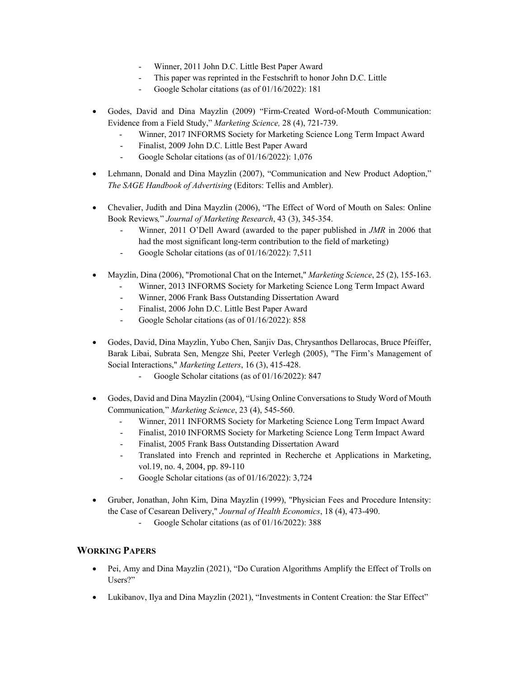- Winner, 2011 John D.C. Little Best Paper Award
- This paper was reprinted in the Festschrift to honor John D.C. Little
- Google Scholar citations (as of 01/16/2022): 181
- Godes, David and Dina Mayzlin (2009) "Firm-Created Word-of-Mouth Communication: Evidence from a Field Study," *Marketing Science,* 28 (4), 721-739.
	- Winner, 2017 INFORMS Society for Marketing Science Long Term Impact Award
	- Finalist, 2009 John D.C. Little Best Paper Award
	- Google Scholar citations (as of 01/16/2022): 1,076
- Lehmann, Donald and Dina Mayzlin (2007), "Communication and New Product Adoption," *The SAGE Handbook of Advertising* (Editors: Tellis and Ambler).
- Chevalier, Judith and Dina Mayzlin (2006), "The Effect of Word of Mouth on Sales: Online Book Reviews*,*" *Journal of Marketing Research*, 43 (3), 345-354.
	- Winner, 2011 O'Dell Award (awarded to the paper published in *JMR* in 2006 that had the most significant long-term contribution to the field of marketing)
	- Google Scholar citations (as of 01/16/2022): 7,511
- Mayzlin, Dina (2006), "Promotional Chat on the Internet," *Marketing Science*, 25 (2), 155-163.
	- Winner, 2013 INFORMS Society for Marketing Science Long Term Impact Award
	- Winner, 2006 Frank Bass Outstanding Dissertation Award
	- Finalist, 2006 John D.C. Little Best Paper Award
	- Google Scholar citations (as of 01/16/2022): 858
- Godes, David, Dina Mayzlin, Yubo Chen, Sanjiv Das, Chrysanthos Dellarocas, Bruce Pfeiffer, Barak Libai, Subrata Sen, Mengze Shi, Peeter Verlegh (2005), "The Firm's Management of Social Interactions," *Marketing Letters*, 16 (3), 415-428.
	- Google Scholar citations (as of 01/16/2022): 847
- Godes, David and Dina Mayzlin (2004), "Using Online Conversations to Study Word of Mouth Communication*,*" *Marketing Science*, 23 (4), 545-560.
	- Winner, 2011 INFORMS Society for Marketing Science Long Term Impact Award
	- Finalist, 2010 INFORMS Society for Marketing Science Long Term Impact Award
	- Finalist, 2005 Frank Bass Outstanding Dissertation Award
	- Translated into French and reprinted in Recherche et Applications in Marketing, vol.19, no. 4, 2004, pp. 89-110
	- Google Scholar citations (as of 01/16/2022): 3,724
- Gruber, Jonathan, John Kim, Dina Mayzlin (1999), "Physician Fees and Procedure Intensity: the Case of Cesarean Delivery," *Journal of Health Economics*, 18 (4), 473-490.
	- Google Scholar citations (as of 01/16/2022): 388

# **WORKING PAPERS**

- Pei, Amy and Dina Mayzlin (2021), "Do Curation Algorithms Amplify the Effect of Trolls on Users?"
- Lukibanov, Ilya and Dina Mayzlin (2021), "Investments in Content Creation: the Star Effect"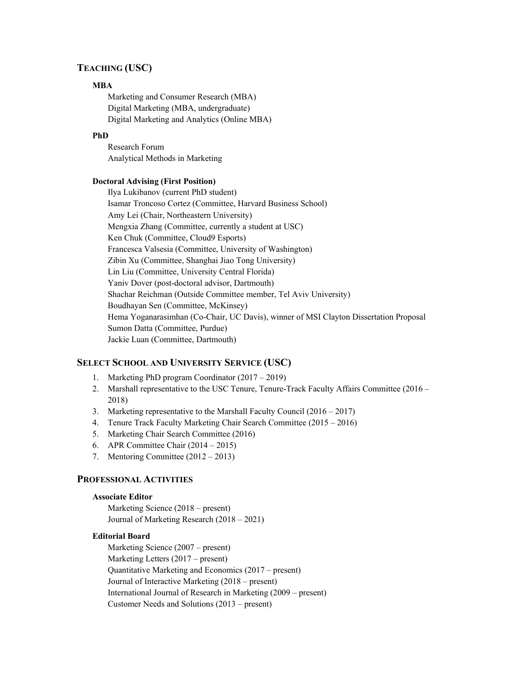# **TEACHING (USC)**

## **MBA**

Marketing and Consumer Research (MBA) Digital Marketing (MBA, undergraduate) Digital Marketing and Analytics (Online MBA)

### **PhD**

Research Forum Analytical Methods in Marketing

### **Doctoral Advising (First Position)**

Ilya Lukibanov (current PhD student) Isamar Troncoso Cortez (Committee, Harvard Business School) Amy Lei (Chair, Northeastern University) Mengxia Zhang (Committee, currently a student at USC) Ken Chuk (Committee, Cloud9 Esports) Francesca Valsesia (Committee, University of Washington) Zibin Xu (Committee, Shanghai Jiao Tong University) Lin Liu (Committee, University Central Florida) Yaniv Dover (post-doctoral advisor, Dartmouth) Shachar Reichman (Outside Committee member, Tel Aviv University) Boudhayan Sen (Committee, McKinsey) Hema Yoganarasimhan (Co-Chair, UC Davis), winner of MSI Clayton Dissertation Proposal Sumon Datta (Committee, Purdue) Jackie Luan (Committee, Dartmouth)

# **SELECT SCHOOL AND UNIVERSITY SERVICE (USC)**

- 1. Marketing PhD program Coordinator (2017 2019)
- 2. Marshall representative to the USC Tenure, Tenure-Track Faculty Affairs Committee (2016 2018)
- 3. Marketing representative to the Marshall Faculty Council  $(2016 2017)$
- 4. Tenure Track Faculty Marketing Chair Search Committee (2015 2016)
- 5. Marketing Chair Search Committee (2016)
- 6. APR Committee Chair (2014 2015)
- 7. Mentoring Committee (2012 2013)

# **PROFESSIONAL ACTIVITIES**

### **Associate Editor**

Marketing Science (2018 – present) Journal of Marketing Research (2018 – 2021)

## **Editorial Board**

Marketing Science (2007 – present) Marketing Letters (2017 – present) Quantitative Marketing and Economics (2017 – present) Journal of Interactive Marketing (2018 – present) International Journal of Research in Marketing (2009 – present) Customer Needs and Solutions (2013 – present)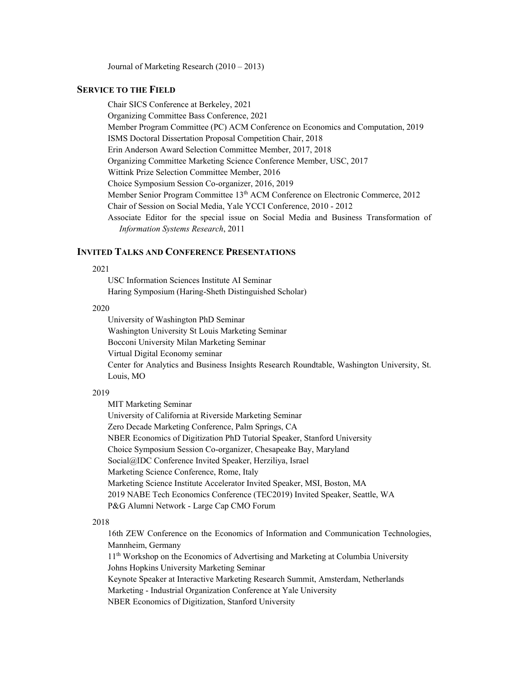Journal of Marketing Research (2010 – 2013)

# **SERVICE TO THE FIELD**

Chair SICS Conference at Berkeley, 2021 Organizing Committee Bass Conference, 2021 Member Program Committee (PC) ACM Conference on Economics and Computation, 2019 ISMS Doctoral Dissertation Proposal Competition Chair, 2018 Erin Anderson Award Selection Committee Member, 2017, 2018 Organizing Committee Marketing Science Conference Member, USC, 2017 Wittink Prize Selection Committee Member, 2016 Choice Symposium Session Co-organizer, 2016, 2019 Member Senior Program Committee 13<sup>th</sup> ACM Conference on Electronic Commerce, 2012 Chair of Session on Social Media, Yale YCCI Conference, 2010 - 2012 Associate Editor for the special issue on Social Media and Business Transformation of *Information Systems Research*, 2011

# **INVITED TALKS AND CONFERENCE PRESENTATIONS**

### 2021

USC Information Sciences Institute AI Seminar Haring Symposium (Haring-Sheth Distinguished Scholar)

### 2020

University of Washington PhD Seminar Washington University St Louis Marketing Seminar Bocconi University Milan Marketing Seminar Virtual Digital Economy seminar Center for Analytics and Business Insights Research Roundtable, Washington University, St. Louis, MO

#### 2019

MIT Marketing Seminar University of California at Riverside Marketing Seminar Zero Decade Marketing Conference, Palm Springs, CA NBER Economics of Digitization PhD Tutorial Speaker, Stanford University Choice Symposium Session Co-organizer, Chesapeake Bay, Maryland Social@IDC Conference Invited Speaker, Herziliya, Israel Marketing Science Conference, Rome, Italy Marketing Science Institute Accelerator Invited Speaker, MSI, Boston, MA 2019 NABE Tech Economics Conference (TEC2019) Invited Speaker, Seattle, WA P&G Alumni Network - Large Cap CMO Forum

#### 2018

16th ZEW Conference on the Economics of Information and Communication Technologies, Mannheim, Germany

11th Workshop on the Economics of Advertising and Marketing at Columbia University Johns Hopkins University Marketing Seminar

Keynote Speaker at Interactive Marketing Research Summit, Amsterdam, Netherlands

Marketing - Industrial Organization Conference at Yale University

NBER Economics of Digitization, Stanford University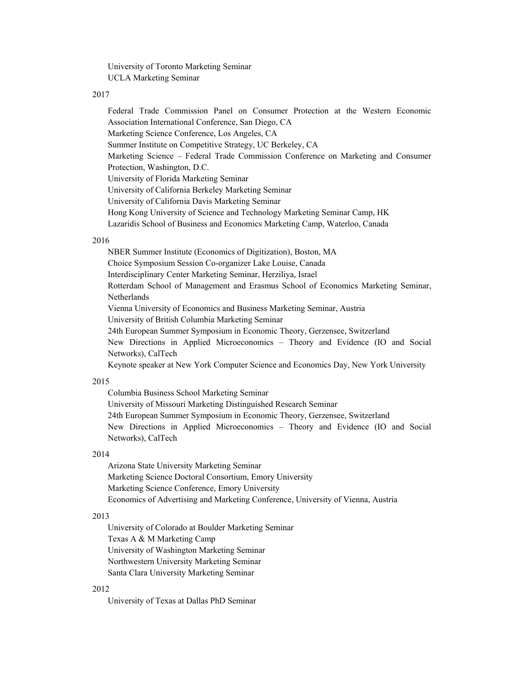University of Toronto Marketing Seminar UCLA Marketing Seminar

2017

Federal Trade Commission Panel on Consumer Protection at the Western Economic Association International Conference, San Diego, CA Marketing Science Conference, Los Angeles, CA Summer Institute on Competitive Strategy, UC Berkeley, CA Marketing Science – Federal Trade Commission Conference on Marketing and Consumer Protection, Washington, D.C. University of Florida Marketing Seminar University of California Berkeley Marketing Seminar University of California Davis Marketing Seminar Hong Kong University of Science and Technology Marketing Seminar Camp, HK Lazaridis School of Business and Economics Marketing Camp, Waterloo, Canada

#### 2016

NBER Summer Institute (Economics of Digitization), Boston, MA Choice Symposium Session Co-organizer Lake Louise, Canada Interdisciplinary Center Marketing Seminar, Herziliya, Israel Rotterdam School of Management and Erasmus School of Economics Marketing Seminar, Netherlands Vienna University of Economics and Business Marketing Seminar, Austria University of British Columbia Marketing Seminar 24th European Summer Symposium in Economic Theory, Gerzensee, Switzerland New Directions in Applied Microeconomics – Theory and Evidence (IO and Social Networks), CalTech Keynote speaker at New York Computer Science and Economics Day, New York University

#### 2015

Columbia Business School Marketing Seminar University of Missouri Marketing Distinguished Research Seminar 24th European Summer Symposium in Economic Theory, Gerzensee, Switzerland New Directions in Applied Microeconomics – Theory and Evidence (IO and Social Networks), CalTech

#### 2014

Arizona State University Marketing Seminar Marketing Science Doctoral Consortium, Emory University Marketing Science Conference, Emory University Economics of Advertising and Marketing Conference, University of Vienna, Austria

#### 2013

University of Colorado at Boulder Marketing Seminar Texas A & M Marketing Camp University of Washington Marketing Seminar Northwestern University Marketing Seminar Santa Clara University Marketing Seminar

#### 2012

University of Texas at Dallas PhD Seminar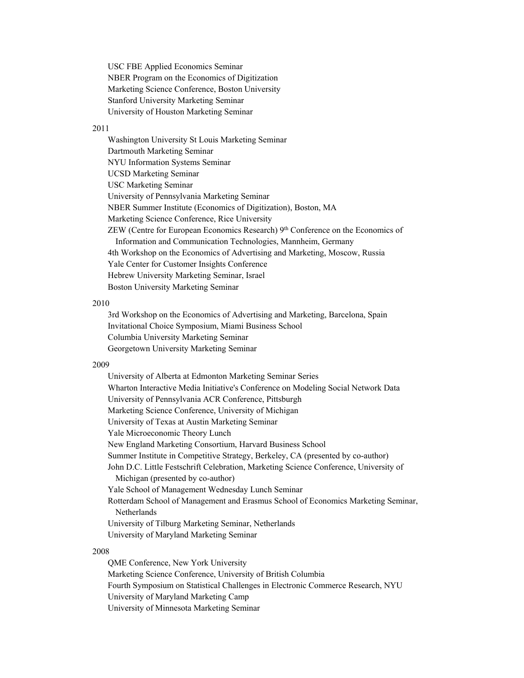USC FBE Applied Economics Seminar NBER Program on the Economics of Digitization Marketing Science Conference, Boston University Stanford University Marketing Seminar University of Houston Marketing Seminar

#### 2011

Washington University St Louis Marketing Seminar Dartmouth Marketing Seminar NYU Information Systems Seminar UCSD Marketing Seminar USC Marketing Seminar University of Pennsylvania Marketing Seminar NBER Summer Institute (Economics of Digitization), Boston, MA Marketing Science Conference, Rice University ZEW (Centre for European Economics Research) 9<sup>th</sup> Conference on the Economics of Information and Communication Technologies, Mannheim, Germany 4th Workshop on the Economics of Advertising and Marketing, Moscow, Russia Yale Center for Customer Insights Conference Hebrew University Marketing Seminar, Israel Boston University Marketing Seminar

#### 2010

3rd Workshop on the Economics of Advertising and Marketing, Barcelona, Spain Invitational Choice Symposium, Miami Business School Columbia University Marketing Seminar Georgetown University Marketing Seminar

### 2009

University of Alberta at Edmonton Marketing Seminar Series Wharton Interactive Media Initiative's Conference on Modeling Social Network Data University of Pennsylvania ACR Conference, Pittsburgh Marketing Science Conference, University of Michigan University of Texas at Austin Marketing Seminar Yale Microeconomic Theory Lunch New England Marketing Consortium, Harvard Business School Summer Institute in Competitive Strategy, Berkeley, CA (presented by co-author) John D.C. Little Festschrift Celebration, Marketing Science Conference, University of Michigan (presented by co-author) Yale School of Management Wednesday Lunch Seminar Rotterdam School of Management and Erasmus School of Economics Marketing Seminar, **Netherlands** University of Tilburg Marketing Seminar, Netherlands University of Maryland Marketing Seminar

#### 2008

QME Conference, New York University Marketing Science Conference, University of British Columbia Fourth Symposium on Statistical Challenges in Electronic Commerce Research, NYU University of Maryland Marketing Camp University of Minnesota Marketing Seminar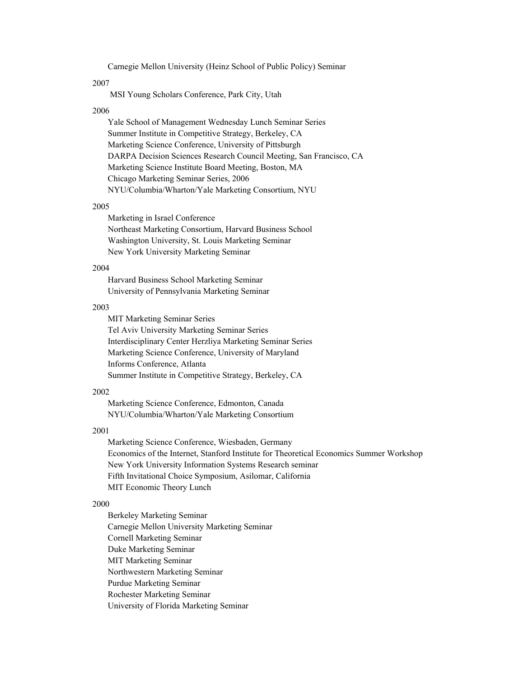Carnegie Mellon University (Heinz School of Public Policy) Seminar

#### 2007

MSI Young Scholars Conference, Park City, Utah

#### 2006

Yale School of Management Wednesday Lunch Seminar Series Summer Institute in Competitive Strategy, Berkeley, CA Marketing Science Conference, University of Pittsburgh DARPA Decision Sciences Research Council Meeting, San Francisco, CA Marketing Science Institute Board Meeting, Boston, MA Chicago Marketing Seminar Series, 2006 NYU/Columbia/Wharton/Yale Marketing Consortium, NYU

### 2005

Marketing in Israel Conference Northeast Marketing Consortium, Harvard Business School Washington University, St. Louis Marketing Seminar New York University Marketing Seminar

### 2004

Harvard Business School Marketing Seminar University of Pennsylvania Marketing Seminar

#### 2003

MIT Marketing Seminar Series Tel Aviv University Marketing Seminar Series Interdisciplinary Center Herzliya Marketing Seminar Series Marketing Science Conference, University of Maryland Informs Conference, Atlanta Summer Institute in Competitive Strategy, Berkeley, CA

#### 2002

Marketing Science Conference, Edmonton, Canada NYU/Columbia/Wharton/Yale Marketing Consortium

### 2001

Marketing Science Conference, Wiesbaden, Germany Economics of the Internet, Stanford Institute for Theoretical Economics Summer Workshop New York University Information Systems Research seminar Fifth Invitational Choice Symposium, Asilomar, California MIT Economic Theory Lunch

#### 2000

Berkeley Marketing Seminar Carnegie Mellon University Marketing Seminar Cornell Marketing Seminar Duke Marketing Seminar MIT Marketing Seminar Northwestern Marketing Seminar Purdue Marketing Seminar Rochester Marketing Seminar University of Florida Marketing Seminar